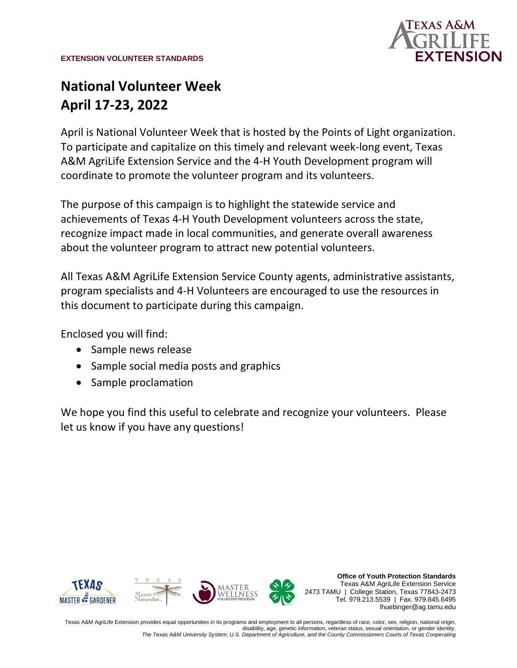

# **National Volunteer Week April 17-23, 2022**

April is National Volunteer Week that is hosted by the Points of Light organization. To participate and capitalize on this timely and relevant week-long event, Texas A&M AgriLife Extension Service and the 4-H Youth Development program will coordinate to promote the volunteer program and its volunteers.

The purpose of this campaign is to highlight the statewide service and achievements of Texas 4-H Youth Development volunteers across the state, recognize impact made in local communities, and generate overall awareness about the volunteer program to attract new potential volunteers.

All Texas A&M AgriLife Extension Service County agents, administrative assistants, program specialists and 4-H Volunteers are encouraged to use the resources in this document to participate during this campaign.

Enclosed you will find:

- Sample news release
- Sample social media posts and graphics
- Sample proclamation

We hope you find this useful to celebrate and recognize your volunteers. Please let us know if you have any questions!



**Office of Youth Protection Standards** Texas A&M AgriLife Extension Service 2473 TAMU | College Station, Texas 77843-2473 Tel. 979.213.5539 | Fax. 979.845.6495 lhuebinger@ag.tamu.edu

Texas A&M AgriLife Extension provides equal opportunities in its programs and employment to all persons, regardless of race, color, sex, religion, national origin, disability, age, genetic information, veteran status, sexual orientation, or gender identity. *The Texas A&M University System, U.S. Department of Agriculture, and the County Commissioners Courts of Texas Cooperating*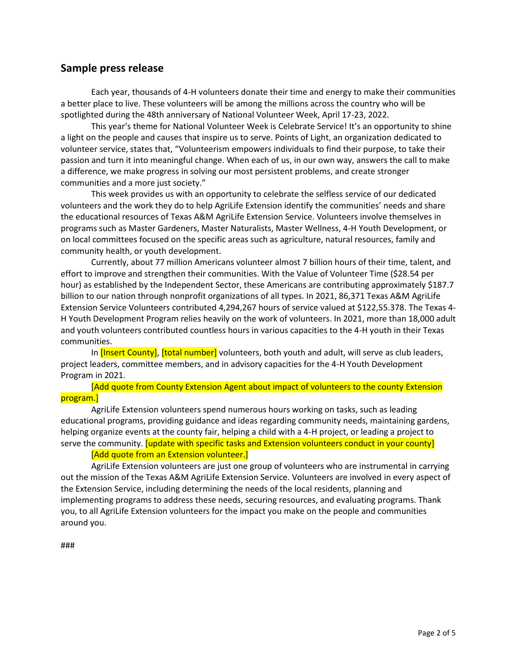## **Sample press release**

Each year, thousands of 4-H volunteers donate their time and energy to make their communities a better place to live. These volunteers will be among the millions across the country who will be spotlighted during the 48th anniversary of National Volunteer Week, April 17-23, 2022.

This year's theme for National Volunteer Week is Celebrate Service! It's an opportunity to shine a light on the people and causes that inspire us to serve. Points of Light, an organization dedicated to volunteer service, states that, "Volunteerism empowers individuals to find their purpose, to take their passion and turn it into meaningful change. When each of us, in our own way, answers the call to make a difference, we make progress in solving our most persistent problems, and create stronger communities and a more just society."

This week provides us with an opportunity to celebrate the selfless service of our dedicated volunteers and the work they do to help AgriLife Extension identify the communities' needs and share the educational resources of Texas A&M AgriLife Extension Service. Volunteers involve themselves in programs such as Master Gardeners, Master Naturalists, Master Wellness, 4-H Youth Development, or on local committees focused on the specific areas such as agriculture, natural resources, family and community health, or youth development.

Currently, about 77 million Americans volunteer almost 7 billion hours of their time, talent, and effort to improve and strengthen their communities. With the Value of Volunteer Time (\$28.54 per hour) as established by the Independent Sector, these Americans are contributing approximately \$187.7 billion to our nation through nonprofit organizations of all types. In 2021, 86,371 Texas A&M AgriLife Extension Service Volunteers contributed 4,294,267 hours of service valued at \$122,55.378. The Texas 4- H Youth Development Program relies heavily on the work of volunteers. In 2021, more than 18,000 adult and youth volunteers contributed countless hours in various capacities to the 4-H youth in their Texas communities.

In [Insert County], [total number] volunteers, both youth and adult, will serve as club leaders, project leaders, committee members, and in advisory capacities for the 4-H Youth Development Program in 2021.

[Add quote from County Extension Agent about impact of volunteers to the county Extension program.]

AgriLife Extension volunteers spend numerous hours working on tasks, such as leading educational programs, providing guidance and ideas regarding community needs, maintaining gardens, helping organize events at the county fair, helping a child with a 4-H project, or leading a project to serve the community. [update with specific tasks and Extension volunteers conduct in your county]

## [Add quote from an Extension volunteer.]

AgriLife Extension volunteers are just one group of volunteers who are instrumental in carrying out the mission of the Texas A&M AgriLife Extension Service. Volunteers are involved in every aspect of the Extension Service, including determining the needs of the local residents, planning and implementing programs to address these needs, securing resources, and evaluating programs. Thank you, to all AgriLife Extension volunteers for the impact you make on the people and communities around you.

###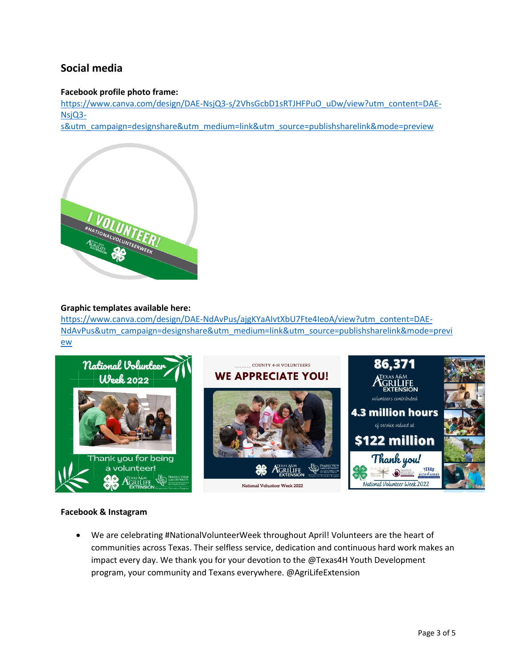# **Social media**

#### **Facebook profile photo frame:**

[https://www.canva.com/design/DAE-NsjQ3-s/2VhsGcbD1sRTJHFPuO\\_uDw/view?utm\\_content=DAE-](https://www.canva.com/design/DAE-NsjQ3-s/2VhsGcbD1sRTJHFPuO_uDw/view?utm_content=DAE-NsjQ3-s&utm_campaign=designshare&utm_medium=link&utm_source=publishsharelink&mode=preview)[NsjQ3-](https://www.canva.com/design/DAE-NsjQ3-s/2VhsGcbD1sRTJHFPuO_uDw/view?utm_content=DAE-NsjQ3-s&utm_campaign=designshare&utm_medium=link&utm_source=publishsharelink&mode=preview)

[s&utm\\_campaign=designshare&utm\\_medium=link&utm\\_source=publishsharelink&mode=preview](https://www.canva.com/design/DAE-NsjQ3-s/2VhsGcbD1sRTJHFPuO_uDw/view?utm_content=DAE-NsjQ3-s&utm_campaign=designshare&utm_medium=link&utm_source=publishsharelink&mode=preview)



#### **Graphic templates available here:**

[https://www.canva.com/design/DAE-NdAvPus/ajgKYaAIvtXbU7Fte4IeoA/view?utm\\_content=DAE-](https://www.canva.com/design/DAE-NdAvPus/ajgKYaAIvtXbU7Fte4IeoA/view?utm_content=DAE-NdAvPus&utm_campaign=designshare&utm_medium=link&utm_source=publishsharelink&mode=preview)[NdAvPus&utm\\_campaign=designshare&utm\\_medium=link&utm\\_source=publishsharelink&mode=previ](https://www.canva.com/design/DAE-NdAvPus/ajgKYaAIvtXbU7Fte4IeoA/view?utm_content=DAE-NdAvPus&utm_campaign=designshare&utm_medium=link&utm_source=publishsharelink&mode=preview) [ew](https://www.canva.com/design/DAE-NdAvPus/ajgKYaAIvtXbU7Fte4IeoA/view?utm_content=DAE-NdAvPus&utm_campaign=designshare&utm_medium=link&utm_source=publishsharelink&mode=preview)



#### **Facebook & Instagram**

• We are celebrating #NationalVolunteerWeek throughout April! Volunteers are the heart of communities across Texas. Their selfless service, dedication and continuous hard work makes an impact every day. We thank you for your devotion to the @Texas4H Youth Development program, your community and Texans everywhere. @AgriLifeExtension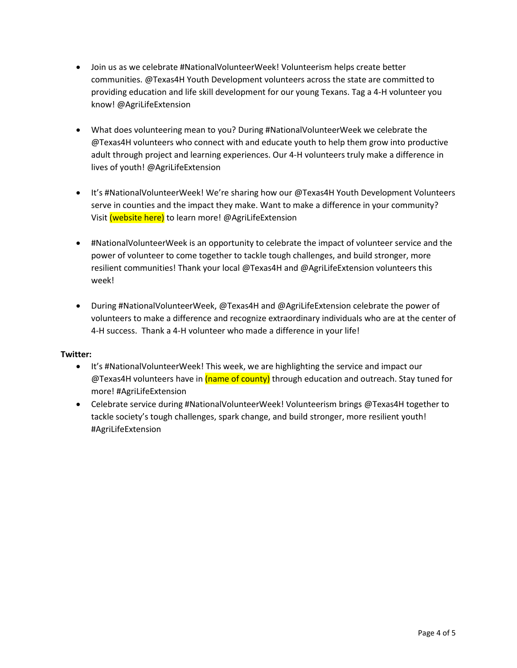- Join us as we celebrate #NationalVolunteerWeek! Volunteerism helps create better communities. @Texas4H Youth Development volunteers across the state are committed to providing education and life skill development for our young Texans. Tag a 4-H volunteer you know! @AgriLifeExtension
- What does volunteering mean to you? During #NationalVolunteerWeek we celebrate the @Texas4H volunteers who connect with and educate youth to help them grow into productive adult through project and learning experiences. Our 4-H volunteers truly make a difference in lives of youth! @AgriLifeExtension
- It's #NationalVolunteerWeek! We're sharing how our @Texas4H Youth Development Volunteers serve in counties and the impact they make. Want to make a difference in your community? Visit (website here) to learn more! @AgriLifeExtension
- #NationalVolunteerWeek is an opportunity to celebrate the impact of volunteer service and the power of volunteer to come together to tackle tough challenges, and build stronger, more resilient communities! Thank your local @Texas4H and @AgriLifeExtension volunteers this week!
- During #NationalVolunteerWeek, @Texas4H and @AgriLifeExtension celebrate the power of volunteers to make a difference and recognize extraordinary individuals who are at the center of 4-H success. Thank a 4-H volunteer who made a difference in your life!

### **Twitter:**

- It's #NationalVolunteerWeek! This week, we are highlighting the service and impact our @Texas4H volunteers have in (name of county) through education and outreach. Stay tuned for more! #AgriLifeExtension
- Celebrate service during #NationalVolunteerWeek! Volunteerism brings @Texas4H together to tackle society's tough challenges, spark change, and build stronger, more resilient youth! #AgriLifeExtension